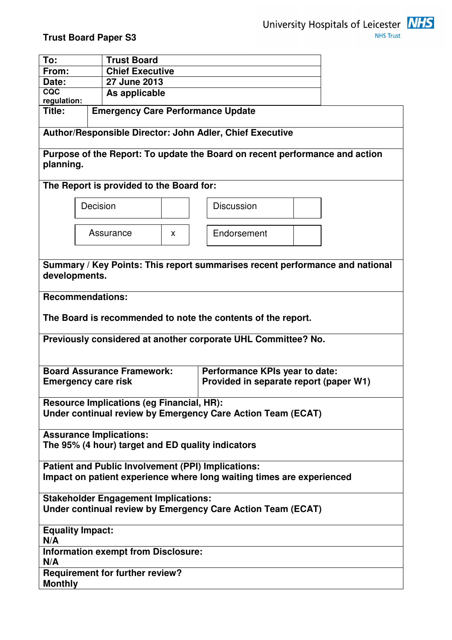

| To:            |                                          | <b>Trust Board</b>                               |    |                                                                              |  |  |  |  |
|----------------|------------------------------------------|--------------------------------------------------|----|------------------------------------------------------------------------------|--|--|--|--|
| From:          | <b>Chief Executive</b>                   |                                                  |    |                                                                              |  |  |  |  |
| Date:          |                                          | 27 June 2013                                     |    |                                                                              |  |  |  |  |
| CQC            |                                          | As applicable                                    |    |                                                                              |  |  |  |  |
| regulation:    |                                          |                                                  |    |                                                                              |  |  |  |  |
| Title:         | <b>Emergency Care Performance Update</b> |                                                  |    |                                                                              |  |  |  |  |
|                |                                          |                                                  |    | Author/Responsible Director: John Adler, Chief Executive                     |  |  |  |  |
| planning.      |                                          |                                                  |    | Purpose of the Report: To update the Board on recent performance and action  |  |  |  |  |
|                |                                          | The Report is provided to the Board for:         |    |                                                                              |  |  |  |  |
|                | Decision                                 |                                                  |    | <b>Discussion</b>                                                            |  |  |  |  |
|                | Assurance                                |                                                  | X. | Endorsement                                                                  |  |  |  |  |
|                | developments.                            |                                                  |    | Summary / Key Points: This report summarises recent performance and national |  |  |  |  |
|                | <b>Recommendations:</b>                  |                                                  |    | The Board is recommended to note the contents of the report.                 |  |  |  |  |
|                |                                          |                                                  |    |                                                                              |  |  |  |  |
|                |                                          |                                                  |    | Previously considered at another corporate UHL Committee? No.                |  |  |  |  |
|                | <b>Emergency care risk</b>               | <b>Board Assurance Framework:</b>                |    | Performance KPIs year to date:<br>Provided in separate report (paper W1)     |  |  |  |  |
|                |                                          | <b>Resource Implications (eg Financial, HR):</b> |    | Under continual review by Emergency Care Action Team (ECAT)                  |  |  |  |  |
|                | <b>Assurance Implications:</b>           |                                                  |    |                                                                              |  |  |  |  |
|                |                                          |                                                  |    | The 95% (4 hour) target and ED quality indicators                            |  |  |  |  |
|                |                                          |                                                  |    | <b>Patient and Public Involvement (PPI) Implications:</b>                    |  |  |  |  |
|                |                                          |                                                  |    | Impact on patient experience where long waiting times are experienced        |  |  |  |  |
|                |                                          | <b>Stakeholder Engagement Implications:</b>      |    |                                                                              |  |  |  |  |
|                |                                          |                                                  |    | Under continual review by Emergency Care Action Team (ECAT)                  |  |  |  |  |
| N/A            | <b>Equality Impact:</b>                  |                                                  |    |                                                                              |  |  |  |  |
| N/A            |                                          | <b>Information exempt from Disclosure:</b>       |    |                                                                              |  |  |  |  |
| <b>Monthly</b> |                                          | <b>Requirement for further review?</b>           |    |                                                                              |  |  |  |  |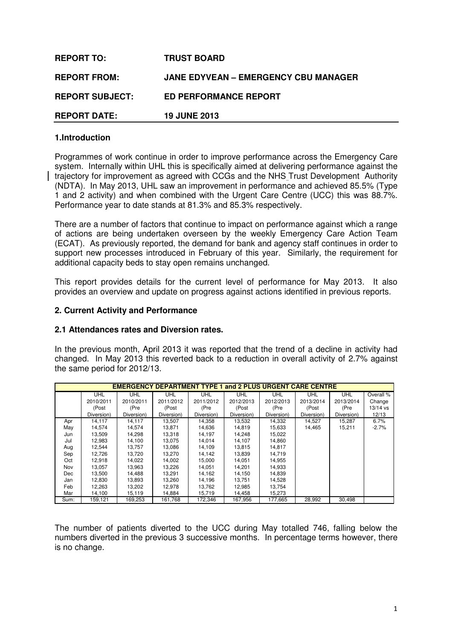| <b>REPORT TO:</b>      | <b>TRUST BOARD</b>                          |
|------------------------|---------------------------------------------|
| <b>REPORT FROM:</b>    | <b>JANE EDYVEAN - EMERGENCY CBU MANAGER</b> |
| <b>REPORT SUBJECT:</b> | <b>ED PERFORMANCE REPORT</b>                |
| <b>REPORT DATE:</b>    | <b>19 JUNE 2013</b>                         |

### **1.Introduction**

Programmes of work continue in order to improve performance across the Emergency Care system. Internally within UHL this is specifically aimed at delivering performance against the trajectory for improvement as agreed with CCGs and the NHS Trust Development Authority (NDTA). In May 2013, UHL saw an improvement in performance and achieved 85.5% (Type 1 and 2 activity) and when combined with the Urgent Care Centre (UCC) this was 88.7%. Performance year to date stands at 81.3% and 85.3% respectively.

There are a number of factors that continue to impact on performance against which a range of actions are being undertaken overseen by the weekly Emergency Care Action Team (ECAT). As previously reported, the demand for bank and agency staff continues in order to support new processes introduced in February of this year. Similarly, the requirement for additional capacity beds to stay open remains unchanged.

This report provides details for the current level of performance for May 2013. It also provides an overview and update on progress against actions identified in previous reports.

#### **2. Current Activity and Performance**

#### **2.1 Attendances rates and Diversion rates.**

In the previous month, April 2013 it was reported that the trend of a decline in activity had changed. In May 2013 this reverted back to a reduction in overall activity of 2.7% against the same period for 2012/13.

|      | <b>EMERGENCY DEPARTMENT TYPE 1 and 2 PLUS URGENT CARE CENTRE</b> |            |            |            |            |            |            |            |           |  |
|------|------------------------------------------------------------------|------------|------------|------------|------------|------------|------------|------------|-----------|--|
|      | <b>UHL</b>                                                       | <b>UHL</b> | <b>UHL</b> | UHL        | <b>UHL</b> | <b>UHL</b> | <b>UHL</b> | <b>UHL</b> | Overall % |  |
|      | 2010/2011                                                        | 2010/2011  | 2011/2012  | 2011/2012  | 2012/2013  | 2012/2013  | 2013/2014  | 2013/2014  | Change    |  |
|      | (Post                                                            | (Pre       | (Post      | (Pre       | (Post      | (Pre       | (Post      | (Pre       | 13/14 vs  |  |
|      | Diversion)                                                       | Diversion) | Diversion) | Diversion) | Diversion) | Diversion) | Diversion) | Diversion) | 12/13     |  |
| Apr  | 14,117                                                           | 14.117     | 13,507     | 14,358     | 13,532     | 14,332     | 14,527     | 15,287     | 6.7%      |  |
| May  | 14.574                                                           | 14,574     | 13.871     | 14,636     | 14,819     | 15,633     | 14,465     | 15,211     | $-2.7%$   |  |
| Jun  | 13,509                                                           | 14,298     | 13,318     | 14,197     | 14,248     | 15,022     |            |            |           |  |
| Jul  | 12,983                                                           | 14,100     | 13,075     | 14,014     | 14,107     | 14,860     |            |            |           |  |
| Aug  | 12,544                                                           | 13,757     | 13,086     | 14,109     | 13,815     | 14,817     |            |            |           |  |
| Sep  | 12.726                                                           | 13.720     | 13,270     | 14.142     | 13.839     | 14.719     |            |            |           |  |
| Oct  | 12,918                                                           | 14,022     | 14,002     | 15,000     | 14,051     | 14,955     |            |            |           |  |
| Nov  | 13,057                                                           | 13,963     | 13,226     | 14,051     | 14,201     | 14,933     |            |            |           |  |
| Dec  | 13,500                                                           | 14,488     | 13,291     | 14,162     | 14,150     | 14,839     |            |            |           |  |
| Jan  | 12,830                                                           | 13,893     | 13,260     | 14,196     | 13,751     | 14,528     |            |            |           |  |
| Feb  | 12,263                                                           | 13,202     | 12,978     | 13,762     | 12,985     | 13,754     |            |            |           |  |
| Mar  | 14,100                                                           | 15,119     | 14,884     | 15,719     | 14,458     | 15,273     |            |            |           |  |
| Sum: | 159,121                                                          | 169,253    | 161,768    | 172,346    | 167,956    | 177,665    | 28,992     | 30,498     |           |  |

The number of patients diverted to the UCC during May totalled 746, falling below the numbers diverted in the previous 3 successive months. In percentage terms however, there is no change.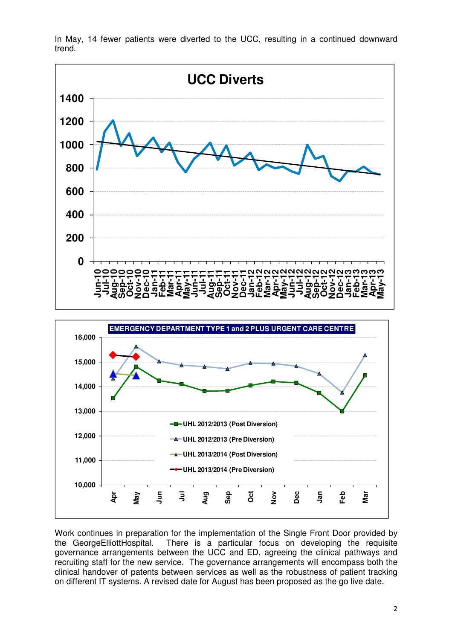

In May, 14 fewer patients were diverted to the UCC, resulting in a continued downward trend.



Work continues in preparation for the implementation of the Single Front Door provided by the GeorgeElliottHospital. There is a particular focus on developing the requisite governance arrangements between the UCC and ED, agreeing the clinical pathways and recruiting staff for the new service. The governance arrangements will encompass both the clinical handover of patents between services as well as the robustness of patient tracking on different IT systems. A revised date for August has been proposed as the go live date.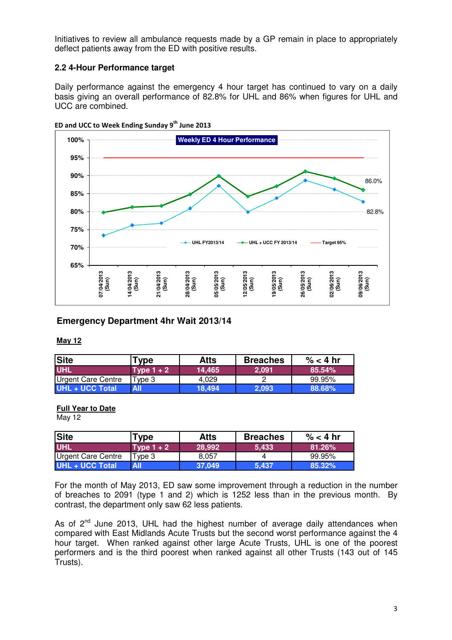Initiatives to review all ambulance requests made by a GP remain in place to appropriately deflect patients away from the ED with positive results.

## **2.2 4-Hour Performance target**

Daily performance against the emergency 4 hour target has continued to vary on a daily basis giving an overall performance of 82.8% for UHL and 86% when figures for UHL and UCC are combined.



ED and UCC to Week Ending Sunday  $9^{th}$  June 2013

## **Emergency Department 4hr Wait 2013/14**

#### **May 12**

| <b>Site</b>               | Type         | <b>Atts</b> | <b>Breaches</b> | $\% < 4$ hr |
|---------------------------|--------------|-------------|-----------------|-------------|
| <b>UHL</b>                | Type $1 + 2$ | 14.465      | 2.091           | 85.54%      |
| <b>Urgent Care Centre</b> | Tvpe 3       | 4.029       |                 | 99.95%      |
| UHL + UCC Total           | All          | 18.494      | 2.093           | 88.68%      |

### **Full Year to Date**

May 12

| <b>Site</b>               | <b>Type</b>  | <b>Atts</b> | <b>Breaches</b> | $\%$ < 4 hr |
|---------------------------|--------------|-------------|-----------------|-------------|
| <b>UHL</b>                | Type $1 + 2$ | 28,992      | 5.433           | 81.26%      |
| <b>Urgent Care Centre</b> | Type 3       | 8.057       |                 | 99.95%      |
| <b>UHL + UCC Total</b>    | All          | 37.049      | 5.437           | 85.32%      |

For the month of May 2013, ED saw some improvement through a reduction in the number of breaches to 2091 (type 1 and 2) which is 1252 less than in the previous month. By contrast, the department only saw 62 less patients.

As of 2<sup>nd</sup> June 2013, UHL had the highest number of average daily attendances when compared with East Midlands Acute Trusts but the second worst performance against the 4 hour target. When ranked against other large Acute Trusts, UHL is one of the poorest performers and is the third poorest when ranked against all other Trusts (143 out of 145 Trusts).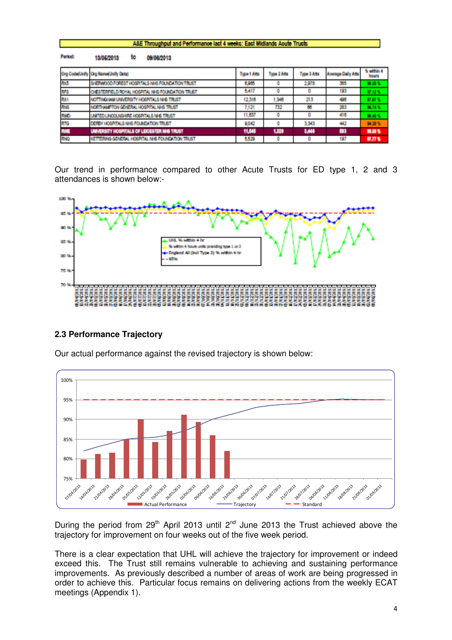|                | A&E Throughput and Performance last 4 weeks: East Midlands Aoute Trusts |             |             |             |                    |                            |  |  |  |  |
|----------------|-------------------------------------------------------------------------|-------------|-------------|-------------|--------------------|----------------------------|--|--|--|--|
| <b>Period:</b> | to<br>13/05/2013<br>00/08/2013                                          |             |             |             |                    |                            |  |  |  |  |
|                | Org Code(Unity Org Rams/Unity Data)                                     | Type 1 Afts | Type 2 Atts | Type 3 Atta | Average Daily Afts | % within 4<br><b>Bound</b> |  |  |  |  |
| 1993           | SHERWOOD FOREST HOSPITALS NHS FOUNDATION TRUST                          | 6,934       | ū.          | 2,978       | 35                 | 製造業                        |  |  |  |  |
| 185            | CHESTER HELD ROYAL HOSPITAL NHS FOUNDATION TRUST                        | 5.417       | ٥           |             | HB.                | 解消器                        |  |  |  |  |
| ROM            | NOTTINGHAM UNIVERSITY HOSPITALS MHS TRUST                               | 12.316      | 1346        | 213         | 495                | 解解器                        |  |  |  |  |
| <b>RM</b>      | NORTHAMPTON GENERAL HOSPITAL MHS TRUST                                  | 7.171       | he M        | 55          | 邪                  | 98.74%                     |  |  |  |  |
| <b>RWD</b>     | UNITED LINCOLNSHIRE HOSPITALS NHS TRUST                                 | 11,557      | ٥           |             | 416                | 読める                        |  |  |  |  |
| kite           | DEREY HOSPITALS NHS FOUNDATION TRUST                                    | 9.042       | ō           | 3343        | 49                 | 图解系                        |  |  |  |  |
| <b>RWE</b>     | UNNERSITY HOSPITALS OF LEXICSTER NHS TRUST                              | 11,545      | 1,320       | 1,444       | 63                 | 韓雄型                        |  |  |  |  |
| <b>RMO</b>     | KETTERING GENERAL HOSPITAL NHS FOUNDATION TRUST                         | 5,530       | ū.          |             | 497                | 修理性                        |  |  |  |  |

Our trend in performance compared to other Acute Trusts for ED type 1, 2 and 3 attendances is shown below:-



## **2.3 Performance Trajectory**



Our actual performance against the revised trajectory is shown below:

During the period from  $29<sup>th</sup>$  April 2013 until  $2<sup>nd</sup>$  June 2013 the Trust achieved above the trajectory for improvement on four weeks out of the five week period.

There is a clear expectation that UHL will achieve the trajectory for improvement or indeed exceed this. The Trust still remains vulnerable to achieving and sustaining performance improvements. As previously described a number of areas of work are being progressed in order to achieve this. Particular focus remains on delivering actions from the weekly ECAT meetings (Appendix 1).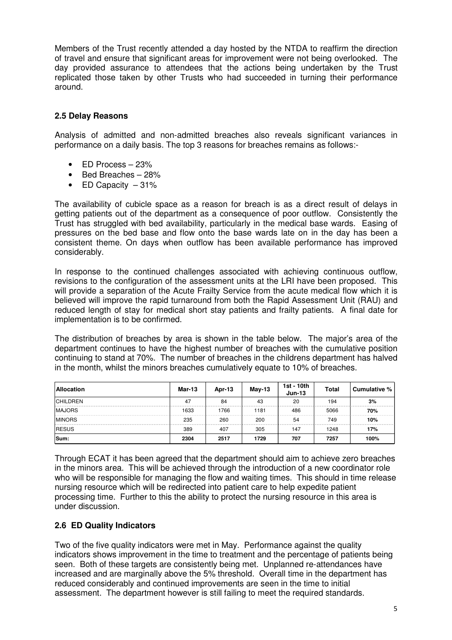Members of the Trust recently attended a day hosted by the NTDA to reaffirm the direction of travel and ensure that significant areas for improvement were not being overlooked. The day provided assurance to attendees that the actions being undertaken by the Trust replicated those taken by other Trusts who had succeeded in turning their performance around.

## **2.5 Delay Reasons**

Analysis of admitted and non-admitted breaches also reveals significant variances in performance on a daily basis. The top 3 reasons for breaches remains as follows:-

- $\bullet$  FD Process 23%
- Bed Breaches 28%
- ED Capacity  $-31\%$

The availability of cubicle space as a reason for breach is as a direct result of delays in getting patients out of the department as a consequence of poor outflow. Consistently the Trust has struggled with bed availability, particularly in the medical base wards. Easing of pressures on the bed base and flow onto the base wards late on in the day has been a consistent theme. On days when outflow has been available performance has improved considerably.

In response to the continued challenges associated with achieving continuous outflow, revisions to the configuration of the assessment units at the LRI have been proposed. This will provide a separation of the Acute Frailty Service from the acute medical flow which it is believed will improve the rapid turnaround from both the Rapid Assessment Unit (RAU) and reduced length of stay for medical short stay patients and frailty patients. A final date for implementation is to be confirmed.

The distribution of breaches by area is shown in the table below. The major's area of the department continues to have the highest number of breaches with the cumulative position continuing to stand at 70%. The number of breaches in the childrens department has halved in the month, whilst the minors breaches cumulatively equate to 10% of breaches.

| <b>Allocation</b> | Mar-13 | Apr-13 | $Mav-13$ | 1st - 10th<br>$Jun-13$ | <b>Total</b> | Cumulative % |
|-------------------|--------|--------|----------|------------------------|--------------|--------------|
| <b>CHILDREN</b>   | 47     | 84     | 43       | 20                     | 194          | 3%           |
| <b>MAJORS</b>     | 1633   | 1766   | 1181     | 486                    | 5066         | 70%          |
| <b>MINORS</b>     | 235    | 260    | 200      | 54                     | 749          | 10%          |
| <b>RESUS</b>      | 389    | 407    | 305      | 147                    | 1248         | 17%          |
| Sum:              | 2304   | 2517   | 1729     | 707                    | 7257         | 100%         |

Through ECAT it has been agreed that the department should aim to achieve zero breaches in the minors area. This will be achieved through the introduction of a new coordinator role who will be responsible for managing the flow and waiting times. This should in time release nursing resource which will be redirected into patient care to help expedite patient processing time. Further to this the ability to protect the nursing resource in this area is under discussion.

## **2.6 ED Quality Indicators**

Two of the five quality indicators were met in May. Performance against the quality indicators shows improvement in the time to treatment and the percentage of patients being seen. Both of these targets are consistently being met. Unplanned re-attendances have increased and are marginally above the 5% threshold. Overall time in the department has reduced considerably and continued improvements are seen in the time to initial assessment. The department however is still failing to meet the required standards.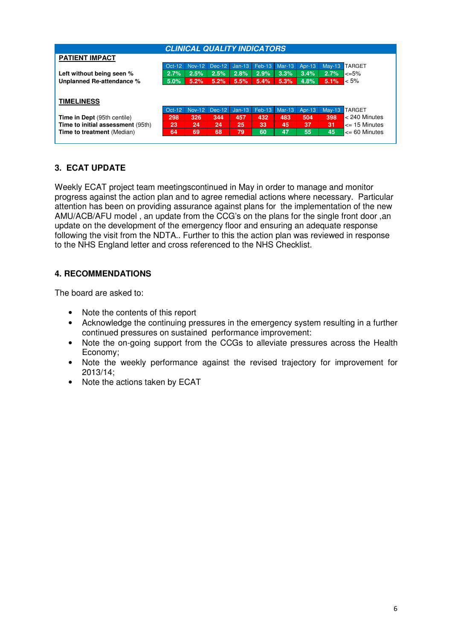| <b>CLINICAL QUALITY INDICATORS</b> |          |               |        |          |               |          |           |          |                         |  |
|------------------------------------|----------|---------------|--------|----------|---------------|----------|-----------|----------|-------------------------|--|
| <b>PATIENT IMPACT</b>              |          |               |        |          |               |          |           |          |                         |  |
|                                    | $Oct-12$ | <b>Nov-12</b> | Dec-12 | $Jan-13$ | <b>Feb-13</b> | $Mar-13$ | Apr-13    | $Mav-13$ | <b>TARGET</b>           |  |
| Left without being seen %          | 2.7%     | 2.5%          | 2.5%   | 2.8%     | 2.9%          | 3.3%     | 3.4%      | 2.7%     | <=5%                    |  |
| Unplanned Re-attendance %          | 5.0%     | 5.2%          | 5.2%   | 5.5%     | 5.4%          | 5.3%     | 4.8%      | 5.1%     | $< 5\%$                 |  |
|                                    |          |               |        |          |               |          |           |          |                         |  |
| <b>TIMELINESS</b>                  |          |               |        |          |               |          |           |          |                         |  |
|                                    | Oct-12   | <b>Nov-12</b> | Dec-12 | $Jan-13$ | $Feb-13$      | Mar-13   | Apr- $13$ | $Mav-13$ | <b>TARGET</b>           |  |
| <b>Time in Dept (95th centile)</b> | 298      | 326           | 344    | 457      | 432           | 483      | 504       | 398      | < 240 Minutes           |  |
| Time to initial assessment (95th)  | 23       | 24            | 24     | 25       | 33            | 45       | 37        | 31       | <= 15 Minutes           |  |
| <b>Time to treatment</b> (Median)  | 64       | 69            | 68     | 79       | 60            | 47       | 55        | 45       | $\epsilon$ = 60 Minutes |  |
|                                    |          |               |        |          |               |          |           |          |                         |  |

## **3. ECAT UPDATE**

Weekly ECAT project team meetingscontinued in May in order to manage and monitor progress against the action plan and to agree remedial actions where necessary. Particular attention has been on providing assurance against plans for the implementation of the new AMU/ACB/AFU model , an update from the CCG's on the plans for the single front door ,an update on the development of the emergency floor and ensuring an adequate response following the visit from the NDTA.. Further to this the action plan was reviewed in response to the NHS England letter and cross referenced to the NHS Checklist.

## **4. RECOMMENDATIONS**

The board are asked to:

- Note the contents of this report
- Acknowledge the continuing pressures in the emergency system resulting in a further continued pressures on sustained performance improvement:
- Note the on-going support from the CCGs to alleviate pressures across the Health Economy;
- Note the weekly performance against the revised trajectory for improvement for 2013/14;
- Note the actions taken by ECAT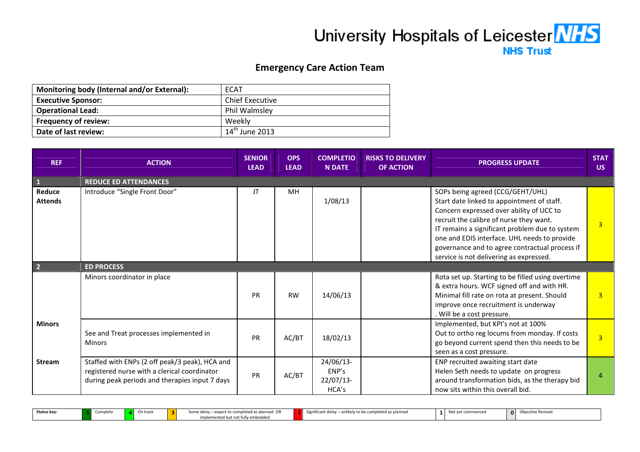# University Hospitals of Leicester MHS **NHS Trust**

# Emergency Care Action Team

| Monitoring body (Internal and/or External): | ECAT                       |
|---------------------------------------------|----------------------------|
| <b>Executive Sponsor:</b>                   | <b>Chief Executive</b>     |
| <b>Operational Lead:</b>                    | Phil Walmsley              |
| <b>Frequency of review:</b>                 | Weekly                     |
| Date of last review:                        | $14^{\text{th}}$ June 2013 |

| <b>REF</b>               | <b>ACTION</b>                                                                                                                                    | <b>SENIOR</b><br><b>LEAD</b> | <b>OPS</b><br><b>LEAD</b> | <b>COMPLETIO</b><br><b>N DATE</b>        | <b>RISKS TO DELIVERY</b><br><b>OF ACTION</b> | <b>PROGRESS UPDATE</b>                                                                                                                                                                                                                                                                                                                                               | <b>STAT</b><br>US. |
|--------------------------|--------------------------------------------------------------------------------------------------------------------------------------------------|------------------------------|---------------------------|------------------------------------------|----------------------------------------------|----------------------------------------------------------------------------------------------------------------------------------------------------------------------------------------------------------------------------------------------------------------------------------------------------------------------------------------------------------------------|--------------------|
| $\vert$ 1                | <b>REDUCE ED ATTENDANCES</b>                                                                                                                     |                              |                           |                                          |                                              |                                                                                                                                                                                                                                                                                                                                                                      |                    |
| Reduce<br><b>Attends</b> | Introduce "Single Front Door"                                                                                                                    | JT                           | <b>MH</b>                 | 1/08/13                                  |                                              | SOPs being agreed (CCG/GEHT/UHL)<br>Start date linked to appointment of staff.<br>Concern expressed over ability of UCC to<br>recruit the calibre of nurse they want.<br>IT remains a significant problem due to system<br>one and EDIS interface. UHL needs to provide<br>governance and to agree contractual process if<br>service is not delivering as expressed. | $\overline{3}$     |
| $\overline{2}$           | <b>ED PROCESS</b>                                                                                                                                |                              |                           |                                          |                                              |                                                                                                                                                                                                                                                                                                                                                                      |                    |
|                          | Minors coordinator in place                                                                                                                      | <b>PR</b>                    | <b>RW</b>                 | 14/06/13                                 |                                              | Rota set up. Starting to be filled using overtime<br>& extra hours. WCF signed off and with HR.<br>Minimal fill rate on rota at present. Should<br>improve once recruitment is underway<br>. Will be a cost pressure.                                                                                                                                                | $\overline{3}$     |
| <b>Minors</b>            | See and Treat processes implemented in<br><b>Minors</b>                                                                                          | <b>PR</b>                    | AC/BT                     | 18/02/13                                 |                                              | Implemented, but KPI's not at 100%<br>Out to ortho reg locums from monday. If costs<br>go beyond current spend then this needs to be<br>seen as a cost pressure.                                                                                                                                                                                                     | $\overline{3}$     |
| <b>Stream</b>            | Staffed with ENPs (2 off peak/3 peak), HCA and<br>registered nurse with a clerical coordinator<br>during peak periods and therapies input 7 days | PR                           | AC/BT                     | 24/06/13-<br>ENP's<br>22/07/13-<br>HCA's |                                              | ENP recruited awaiting start date<br>Helen Seth needs to update on progress<br>around transformation bids, as the therapy bid<br>now sits within this overall bid.                                                                                                                                                                                                   | 4                  |

Status key: Complete **4** On track **3** Some delay – expect to completed as planned OR implemented but not fully embedded2Significant delay – unlikely to be completed as planned  $1$  Not yet commenced  $0$  Objective Revised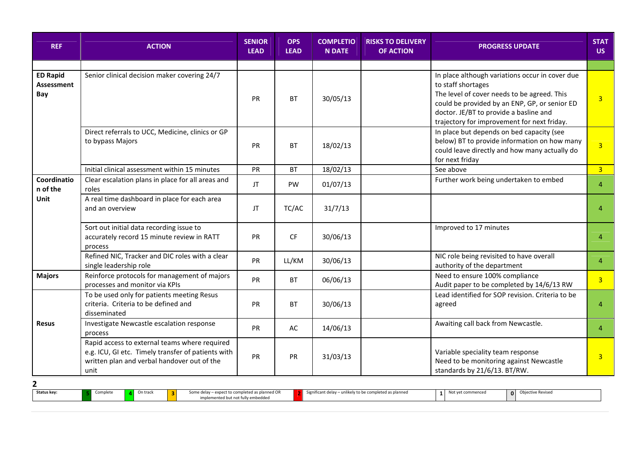| <b>REF</b>                                  | <b>ACTION</b>                                                                                                                                              | <b>SENIOR</b><br><b>LEAD</b> | <b>OPS</b><br><b>LEAD</b> | <b>COMPLETIO</b><br><b>N DATE</b> | <b>RISKS TO DELIVERY</b><br><b>OF ACTION</b> | <b>PROGRESS UPDATE</b>                                                                                                                                                                                                                                         | <b>STAT</b><br>US. |
|---------------------------------------------|------------------------------------------------------------------------------------------------------------------------------------------------------------|------------------------------|---------------------------|-----------------------------------|----------------------------------------------|----------------------------------------------------------------------------------------------------------------------------------------------------------------------------------------------------------------------------------------------------------------|--------------------|
|                                             |                                                                                                                                                            |                              |                           |                                   |                                              |                                                                                                                                                                                                                                                                |                    |
| <b>ED Rapid</b><br><b>Assessment</b><br>Bay | Senior clinical decision maker covering 24/7                                                                                                               | <b>PR</b>                    | <b>BT</b>                 | 30/05/13                          |                                              | In place although variations occur in cover due<br>to staff shortages<br>The level of cover needs to be agreed. This<br>could be provided by an ENP, GP, or senior ED<br>doctor. JE/BT to provide a basline and<br>trajectory for improvement for next friday. | 3 <sup>2</sup>     |
|                                             | Direct referrals to UCC, Medicine, clinics or GP<br>to bypass Majors                                                                                       | <b>PR</b>                    | <b>BT</b>                 | 18/02/13                          |                                              | In place but depends on bed capacity (see<br>below) BT to provide information on how many<br>could leave directly and how many actually do<br>for next friday                                                                                                  | 3 <sup>1</sup>     |
|                                             | Initial clinical assessment within 15 minutes                                                                                                              | PR                           | <b>BT</b>                 | 18/02/13                          |                                              | See above                                                                                                                                                                                                                                                      | $\overline{3}$     |
| Coordinatio<br>n of the                     | Clear escalation plans in place for all areas and<br>roles                                                                                                 | JT                           | PW                        | 01/07/13                          |                                              | Further work being undertaken to embed                                                                                                                                                                                                                         | $\overline{4}$     |
| Unit                                        | A real time dashboard in place for each area<br>and an overview                                                                                            | JT.                          | TC/AC                     | 31/7/13                           |                                              |                                                                                                                                                                                                                                                                | $\overline{4}$     |
|                                             | Sort out initial data recording issue to<br>accurately record 15 minute review in RATT<br>process                                                          | PR                           | <b>CF</b>                 | 30/06/13                          |                                              | Improved to 17 minutes                                                                                                                                                                                                                                         | $\overline{4}$     |
|                                             | Refined NIC, Tracker and DIC roles with a clear<br>single leadership role                                                                                  | <b>PR</b>                    | LL/KM                     | 30/06/13                          |                                              | NIC role being revisited to have overall<br>authority of the department                                                                                                                                                                                        | $\overline{4}$     |
| <b>Majors</b>                               | Reinforce protocols for management of majors<br>processes and monitor via KPIs                                                                             | PR                           | <b>BT</b>                 | 06/06/13                          |                                              | Need to ensure 100% compliance<br>Audit paper to be completed by 14/6/13 RW                                                                                                                                                                                    | $\overline{3}$     |
|                                             | To be used only for patients meeting Resus<br>criteria. Criteria to be defined and<br>disseminated                                                         | PR                           | <b>BT</b>                 | 30/06/13                          |                                              | Lead identified for SOP revision. Criteria to be<br>agreed                                                                                                                                                                                                     | $\overline{4}$     |
| Resus                                       | Investigate Newcastle escalation response<br>process                                                                                                       | PR                           | AC                        | 14/06/13                          |                                              | Awaiting call back from Newcastle.                                                                                                                                                                                                                             | $\overline{4}$     |
|                                             | Rapid access to external teams where required<br>e.g. ICU, GI etc. Timely transfer of patients with<br>written plan and verbal handover out of the<br>unit | <b>PR</b>                    | <b>PR</b>                 | 31/03/13                          |                                              | Variable speciality team response<br>Need to be monitoring against Newcastle<br>standards by 21/6/13. BT/RW.                                                                                                                                                   | $\overline{3}$     |
| 2                                           |                                                                                                                                                            |                              |                           |                                   |                                              |                                                                                                                                                                                                                                                                |                    |

Status key: 5 **5** Complete **4** On track **3** Some delay – expect to completed as planned OR implemented but not fully embedded 2Significant delay – unlikely to be completed as planned <sup>1</sup> Not yet commenced <sup>0</sup> Objective Revised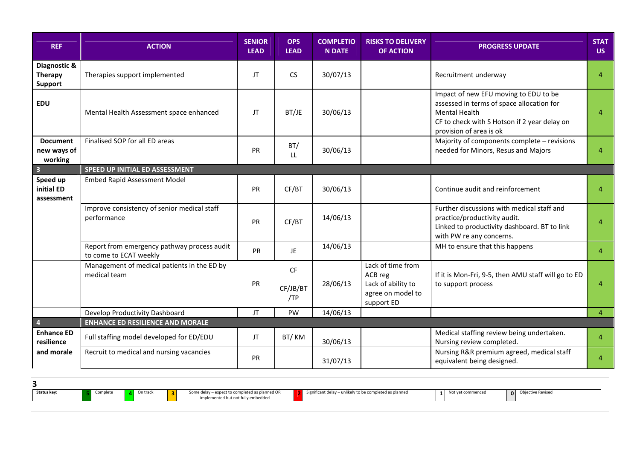| <b>REF</b>                                       | <b>ACTION</b>                                                         | <b>SENIOR</b><br><b>LEAD</b> | <b>OPS</b><br><b>LEAD</b>    | <b>COMPLETIO</b><br><b>N DATE</b> | <b>RISKS TO DELIVERY</b><br><b>OF ACTION</b>                                          | <b>PROGRESS UPDATE</b>                                                                                                                                                                | <b>STAT</b><br><b>US</b> |
|--------------------------------------------------|-----------------------------------------------------------------------|------------------------------|------------------------------|-----------------------------------|---------------------------------------------------------------------------------------|---------------------------------------------------------------------------------------------------------------------------------------------------------------------------------------|--------------------------|
| Diagnostic &<br><b>Therapy</b><br><b>Support</b> | Therapies support implemented                                         | JT                           | <b>CS</b>                    | 30/07/13                          |                                                                                       | Recruitment underway                                                                                                                                                                  | $\overline{4}$           |
| <b>EDU</b>                                       | Mental Health Assessment space enhanced                               | JT                           | BT/JE                        | 30/06/13                          |                                                                                       | Impact of new EFU moving to EDU to be<br>assessed in terms of space allocation for<br><b>Mental Health</b><br>CF to check with S Hotson if 2 year delay on<br>provision of area is ok | $\overline{4}$           |
| <b>Document</b><br>new ways of<br>working        | Finalised SOP for all ED areas                                        | PR                           | BT/<br>LL.                   | 30/06/13                          |                                                                                       | Majority of components complete - revisions<br>needed for Minors, Resus and Majors                                                                                                    | $\overline{4}$           |
| $\overline{\mathbf{3}}$                          | SPEED UP INITIAL ED ASSESSMENT                                        |                              |                              |                                   |                                                                                       |                                                                                                                                                                                       |                          |
| Speed up<br>initial ED<br>assessment             | <b>Embed Rapid Assessment Model</b>                                   | PR                           | CF/BT                        | 30/06/13                          |                                                                                       | Continue audit and reinforcement                                                                                                                                                      | $\overline{4}$           |
|                                                  | Improve consistency of senior medical staff<br>performance            | <b>PR</b>                    | CF/BT                        | 14/06/13                          |                                                                                       | Further discussions with medical staff and<br>practice/productivity audit.<br>Linked to productivity dashboard. BT to link<br>with PW re any concerns.                                | $\overline{4}$           |
|                                                  | Report from emergency pathway process audit<br>to come to ECAT weekly | PR                           | JE.                          | 14/06/13                          |                                                                                       | MH to ensure that this happens                                                                                                                                                        | $\overline{4}$           |
|                                                  | Management of medical patients in the ED by<br>medical team           | PR                           | <b>CF</b><br>CF/JB/BT<br>/TP | 28/06/13                          | Lack of time from<br>ACB reg<br>Lack of ability to<br>agree on model to<br>support ED | If it is Mon-Fri, 9-5, then AMU staff will go to ED<br>to support process                                                                                                             | $\overline{4}$           |
|                                                  | Develop Productivity Dashboard                                        | JT.                          | PW                           | 14/06/13                          |                                                                                       |                                                                                                                                                                                       | $\overline{4}$           |
| $\overline{4}$                                   | <b>ENHANCE ED RESILIENCE AND MORALE</b>                               |                              |                              |                                   |                                                                                       |                                                                                                                                                                                       |                          |
| <b>Enhance ED</b><br>resilience                  | Full staffing model developed for ED/EDU                              | JT.                          | BT/KM                        | 30/06/13                          |                                                                                       | Medical staffing review being undertaken.<br>Nursing review completed.                                                                                                                | $\overline{4}$           |
| and morale                                       | Recruit to medical and nursing vacancies                              | <b>PR</b>                    |                              | 31/07/13                          |                                                                                       | Nursing R&R premium agreed, medical staff<br>equivalent being designed.                                                                                                               | 4                        |

| Status key: | Complete | On track | Some delay - expect to completed as planned OR<br>implemented but not fully embedded | Significant delay – unlikely to be completed as planned | Not yet commenced | <b>0</b> Objective Revised |
|-------------|----------|----------|--------------------------------------------------------------------------------------|---------------------------------------------------------|-------------------|----------------------------|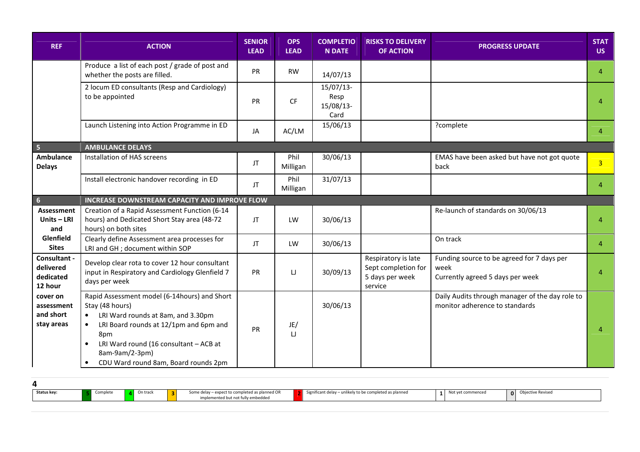| <b>REF</b>                                        | <b>ACTION</b>                                                                                                                                                                                                                                                                        | <b>SENIOR</b><br><b>LEAD</b> | <b>OPS</b><br><b>LEAD</b> | <b>COMPLETIO</b><br><b>N DATE</b>        | <b>RISKS TO DELIVERY</b><br><b>OF ACTION</b>                             | <b>PROGRESS UPDATE</b>                                                                 | <b>STAT</b><br><b>US</b> |
|---------------------------------------------------|--------------------------------------------------------------------------------------------------------------------------------------------------------------------------------------------------------------------------------------------------------------------------------------|------------------------------|---------------------------|------------------------------------------|--------------------------------------------------------------------------|----------------------------------------------------------------------------------------|--------------------------|
|                                                   | Produce a list of each post / grade of post and<br>whether the posts are filled.                                                                                                                                                                                                     | PR                           | <b>RW</b>                 | 14/07/13                                 |                                                                          |                                                                                        | 4                        |
|                                                   | 2 locum ED consultants (Resp and Cardiology)<br>to be appointed                                                                                                                                                                                                                      | <b>PR</b>                    | CF                        | $15/07/13-$<br>Resp<br>15/08/13-<br>Card |                                                                          |                                                                                        | 4                        |
|                                                   | Launch Listening into Action Programme in ED                                                                                                                                                                                                                                         | JA                           | AC/LM                     | 15/06/13                                 |                                                                          | ?complete                                                                              | 4                        |
| $\overline{\phantom{a}}$ 5                        | <b>AMBULANCE DELAYS</b>                                                                                                                                                                                                                                                              |                              |                           |                                          |                                                                          |                                                                                        |                          |
| Ambulance<br><b>Delays</b>                        | Installation of HAS screens                                                                                                                                                                                                                                                          | JT                           | Phil<br>Milligan          | 30/06/13                                 |                                                                          | EMAS have been asked but have not got quote<br>back                                    | 3 <sup>1</sup>           |
|                                                   | Install electronic handover recording in ED                                                                                                                                                                                                                                          | JT.                          | Phil<br>Milligan          | 31/07/13                                 |                                                                          |                                                                                        | 4                        |
| $\overline{\phantom{a}}$ 6                        | INCREASE DOWNSTREAM CAPACITY AND IMPROVE FLOW                                                                                                                                                                                                                                        |                              |                           |                                          |                                                                          |                                                                                        |                          |
| <b>Assessment</b><br>Units-LRI<br>and             | Creation of a Rapid Assessment Function (6-14<br>hours) and Dedicated Short Stay area (48-72<br>hours) on both sites                                                                                                                                                                 | JT                           | LW                        | 30/06/13                                 |                                                                          | Re-launch of standards on 30/06/13                                                     | 4                        |
| Glenfield<br><b>Sites</b>                         | Clearly define Assessment area processes for<br>LRI and GH ; document within SOP                                                                                                                                                                                                     | JT                           | LW                        | 30/06/13                                 |                                                                          | On track                                                                               | 4                        |
| Consultant -<br>delivered<br>dedicated<br>12 hour | Develop clear rota to cover 12 hour consultant<br>input in Respiratory and Cardiology Glenfield 7<br>days per week                                                                                                                                                                   | <b>PR</b>                    | IJ                        | 30/09/13                                 | Respiratory is late<br>Sept completion for<br>5 days per week<br>service | Funding source to be agreed for 7 days per<br>week<br>Currently agreed 5 days per week | 4                        |
| cover on<br>assessment<br>and short<br>stay areas | Rapid Assessment model (6-14hours) and Short<br>Stay (48 hours)<br>LRI Ward rounds at 8am, and 3.30pm<br>$\bullet$<br>LRI Board rounds at 12/1pm and 6pm and<br>8pm<br>LRI Ward round (16 consultant - ACB at<br>8am-9am/2-3pm)<br>CDU Ward round 8am, Board rounds 2pm<br>$\bullet$ | <b>PR</b>                    | JE/<br>$\Box$             | 30/06/13                                 |                                                                          | Daily Audits through manager of the day role to<br>monitor adherence to standards      | 4                        |

| <b>Status key:</b> | Complete | On track | Some delay - expect to completed as planned OR<br>implemented but not fully embedded | Significant delay – unlikely to be completed as planned | 1 <sup>1</sup> | Not yet commenced | <b>0</b> Objective Revised |
|--------------------|----------|----------|--------------------------------------------------------------------------------------|---------------------------------------------------------|----------------|-------------------|----------------------------|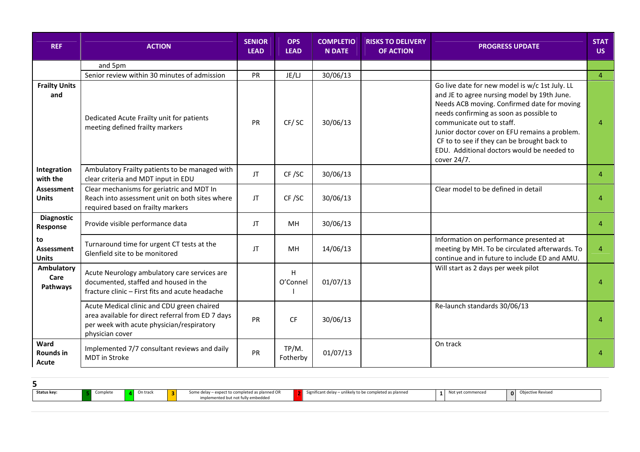| <b>REF</b>                              | <b>ACTION</b>                                                                                                                                                   | <b>SENIOR</b><br><b>LEAD</b> | <b>OPS</b><br><b>LEAD</b> | <b>COMPLETIO</b><br><b>N DATE</b> | <b>RISKS TO DELIVERY</b><br><b>OF ACTION</b> | <b>PROGRESS UPDATE</b>                                                                                                                                                                                                                                                                                                                                                            | <b>STAT</b><br><b>US</b> |
|-----------------------------------------|-----------------------------------------------------------------------------------------------------------------------------------------------------------------|------------------------------|---------------------------|-----------------------------------|----------------------------------------------|-----------------------------------------------------------------------------------------------------------------------------------------------------------------------------------------------------------------------------------------------------------------------------------------------------------------------------------------------------------------------------------|--------------------------|
|                                         | and 5pm                                                                                                                                                         |                              |                           |                                   |                                              |                                                                                                                                                                                                                                                                                                                                                                                   |                          |
|                                         | Senior review within 30 minutes of admission                                                                                                                    | PR                           | JE/LJ                     | 30/06/13                          |                                              |                                                                                                                                                                                                                                                                                                                                                                                   | $\overline{4}$           |
| <b>Frailty Units</b><br>and             | Dedicated Acute Frailty unit for patients<br>meeting defined frailty markers                                                                                    | PR                           | CF/SC                     | 30/06/13                          |                                              | Go live date for new model is w/c 1st July. LL<br>and JE to agree nursing model by 19th June.<br>Needs ACB moving. Confirmed date for moving<br>needs confirming as soon as possible to<br>communicate out to staff.<br>Junior doctor cover on EFU remains a problem.<br>CF to to see if they can be brought back to<br>EDU. Additional doctors would be needed to<br>cover 24/7. | $\overline{4}$           |
| Integration<br>with the                 | Ambulatory Frailty patients to be managed with<br>clear criteria and MDT input in EDU                                                                           | JT.                          | CF/SC                     | 30/06/13                          |                                              |                                                                                                                                                                                                                                                                                                                                                                                   | $\overline{4}$           |
| <b>Assessment</b><br><b>Units</b>       | Clear mechanisms for geriatric and MDT In<br>Reach into assessment unit on both sites where<br>required based on frailty markers                                | JT.                          | CF/SC                     | 30/06/13                          |                                              | Clear model to be defined in detail                                                                                                                                                                                                                                                                                                                                               | 4                        |
| <b>Diagnostic</b><br>Response           | Provide visible performance data                                                                                                                                | JT.                          | MH                        | 30/06/13                          |                                              |                                                                                                                                                                                                                                                                                                                                                                                   | $\overline{4}$           |
| to<br><b>Assessment</b><br><b>Units</b> | Turnaround time for urgent CT tests at the<br>Glenfield site to be monitored                                                                                    | JT.                          | MH                        | 14/06/13                          |                                              | Information on performance presented at<br>meeting by MH. To be circulated afterwards. To<br>continue and in future to include ED and AMU.                                                                                                                                                                                                                                        | $\overline{4}$           |
| Ambulatory<br>Care<br>Pathways          | Acute Neurology ambulatory care services are<br>documented, staffed and housed in the<br>fracture clinic - First fits and acute headache                        |                              | H<br>O'Connel             | 01/07/13                          |                                              | Will start as 2 days per week pilot                                                                                                                                                                                                                                                                                                                                               | $\overline{4}$           |
|                                         | Acute Medical clinic and CDU green chaired<br>area available for direct referral from ED 7 days<br>per week with acute physician/respiratory<br>physician cover | PR                           | <b>CF</b>                 | 30/06/13                          |                                              | Re-launch standards 30/06/13                                                                                                                                                                                                                                                                                                                                                      | $\overline{4}$           |
| Ward<br><b>Rounds in</b><br>Acute       | Implemented 7/7 consultant reviews and daily<br><b>MDT</b> in Stroke                                                                                            | PR                           | TP/M.<br>Fotherby         | 01/07/13                          |                                              | On track                                                                                                                                                                                                                                                                                                                                                                          | 4                        |

| Status key:<br>Some delay - expect to completed as planned OR<br>Significant delay - unlikely to be completed as planned<br>On track<br>Objective Revised<br>vet commenced<br>.omplete<br>0 |  |  |                               |  |  |  |
|---------------------------------------------------------------------------------------------------------------------------------------------------------------------------------------------|--|--|-------------------------------|--|--|--|
|                                                                                                                                                                                             |  |  | nented but not fully embedded |  |  |  |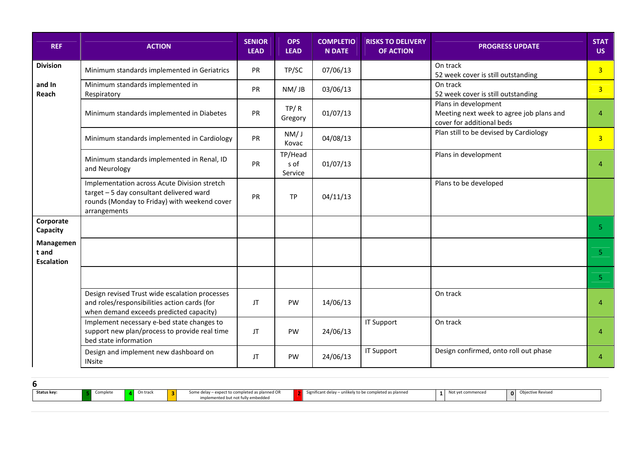| <b>REF</b>                              | <b>ACTION</b>                                                                                                                                            | <b>SENIOR</b><br><b>LEAD</b> | <b>OPS</b><br><b>LEAD</b>  | <b>COMPLETIO</b><br><b>N DATE</b> | <b>RISKS TO DELIVERY</b><br><b>OF ACTION</b> | <b>PROGRESS UPDATE</b>                                                                        | <b>STAT</b><br>US. |
|-----------------------------------------|----------------------------------------------------------------------------------------------------------------------------------------------------------|------------------------------|----------------------------|-----------------------------------|----------------------------------------------|-----------------------------------------------------------------------------------------------|--------------------|
| <b>Division</b>                         | Minimum standards implemented in Geriatrics                                                                                                              | PR                           | TP/SC                      | 07/06/13                          |                                              | On track<br>52 week cover is still outstanding                                                | $\overline{3}$     |
| and In<br>Reach                         | Minimum standards implemented in<br>Respiratory                                                                                                          | PR                           | NM/JB                      | 03/06/13                          |                                              | On track<br>52 week cover is still outstanding                                                | $\overline{3}$     |
|                                         | Minimum standards implemented in Diabetes                                                                                                                | PR                           | TP/R<br>Gregory            | 01/07/13                          |                                              | Plans in development<br>Meeting next week to agree job plans and<br>cover for additional beds | 4                  |
|                                         | Minimum standards implemented in Cardiology                                                                                                              | PR                           | NM/J<br>Kovac              | 04/08/13                          |                                              | Plan still to be devised by Cardiology                                                        | 3 <sup>1</sup>     |
|                                         | Minimum standards implemented in Renal, ID<br>and Neurology                                                                                              | PR                           | TP/Head<br>s of<br>Service | 01/07/13                          |                                              | Plans in development                                                                          | $\overline{4}$     |
|                                         | Implementation across Acute Division stretch<br>target - 5 day consultant delivered ward<br>rounds (Monday to Friday) with weekend cover<br>arrangements | PR                           | <b>TP</b>                  | 04/11/13                          |                                              | Plans to be developed                                                                         |                    |
| Corporate<br>Capacity                   |                                                                                                                                                          |                              |                            |                                   |                                              |                                                                                               | $5 -$              |
| Managemen<br>t and<br><b>Escalation</b> |                                                                                                                                                          |                              |                            |                                   |                                              |                                                                                               | 5 <sup>1</sup>     |
|                                         |                                                                                                                                                          |                              |                            |                                   |                                              |                                                                                               | 5 <sub>1</sub>     |
|                                         | Design revised Trust wide escalation processes<br>and roles/responsibilities action cards (for<br>when demand exceeds predicted capacity)                | JT                           | PW                         | 14/06/13                          |                                              | On track                                                                                      | $\overline{4}$     |
|                                         | Implement necessary e-bed state changes to<br>support new plan/process to provide real time<br>bed state information                                     | JT                           | <b>PW</b>                  | 24/06/13                          | <b>IT Support</b>                            | On track                                                                                      | $\overline{4}$     |
|                                         | Design and implement new dashboard on<br><b>INsite</b>                                                                                                   | JT                           | PW                         | 24/06/13                          | <b>IT Support</b>                            | Design confirmed, onto roll out phase                                                         | $\overline{4}$     |

| Status key: | Complete | On track | Some delay - expect to completed as planned OR<br>implemented but not fully embedded | Significant delay – unlikely to be completed as planned | Not yet commenced | <b>Objective Revised</b> |
|-------------|----------|----------|--------------------------------------------------------------------------------------|---------------------------------------------------------|-------------------|--------------------------|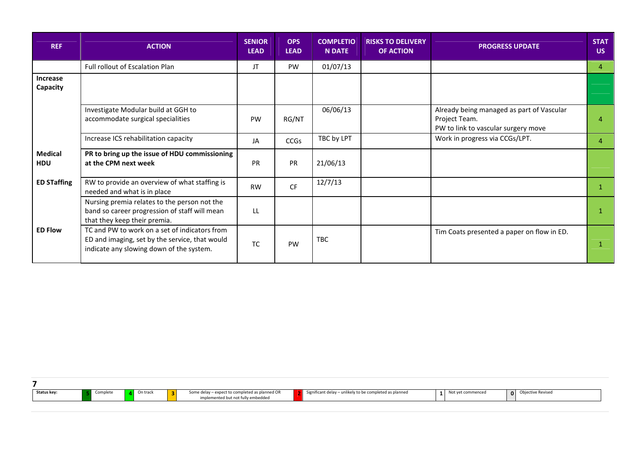| <b>REF</b>                   | <b>ACTION</b>                                                                                                                               | <b>SENIOR</b><br><b>LEAD</b> | <b>OPS</b><br><b>LEAD</b> | <b>COMPLETIO</b><br><b>N DATE</b> | <b>RISKS TO DELIVERY</b><br><b>OF ACTION</b> | <b>PROGRESS UPDATE</b>                                                                            | <b>STAT</b><br>US. |
|------------------------------|---------------------------------------------------------------------------------------------------------------------------------------------|------------------------------|---------------------------|-----------------------------------|----------------------------------------------|---------------------------------------------------------------------------------------------------|--------------------|
|                              | Full rollout of Escalation Plan                                                                                                             | JT                           | <b>PW</b>                 | 01/07/13                          |                                              |                                                                                                   | $\overline{4}$     |
| <b>Increase</b><br>Capacity  |                                                                                                                                             |                              |                           |                                   |                                              |                                                                                                   |                    |
|                              | Investigate Modular build at GGH to<br>accommodate surgical specialities                                                                    | PW                           | RG/NT                     | 06/06/13                          |                                              | Already being managed as part of Vascular<br>Project Team.<br>PW to link to vascular surgery move | $\overline{4}$     |
|                              | Increase ICS rehabilitation capacity                                                                                                        | JA                           | <b>CCGs</b>               | TBC by LPT                        |                                              | Work in progress via CCGs/LPT.                                                                    | $\overline{4}$     |
| <b>Medical</b><br><b>HDU</b> | PR to bring up the issue of HDU commissioning<br>at the CPM next week                                                                       | <b>PR</b>                    | PR                        | 21/06/13                          |                                              |                                                                                                   |                    |
| <b>ED STaffing</b>           | RW to provide an overview of what staffing is<br>needed and what is in place                                                                | <b>RW</b>                    | <b>CF</b>                 | 12/7/13                           |                                              |                                                                                                   | -1                 |
|                              | Nursing premia relates to the person not the<br>band so career progression of staff will mean<br>that they keep their premia.               | LL                           |                           |                                   |                                              |                                                                                                   |                    |
| <b>ED Flow</b>               | TC and PW to work on a set of indicators from<br>ED and imaging, set by the service, that would<br>indicate any slowing down of the system. | <b>TC</b>                    | PW                        | <b>TBC</b>                        |                                              | Tim Coats presented a paper on flow in ED.                                                        |                    |

| Status key:<br>hikely to be completed as planned<br>- expect to completed as planned OR<br><b>COLL</b><br>ective Revised<br>Significant delay – unli<br>')n trac.<br>ημιστε,<br>$\sim$ |  |  |                               |  |  |  |
|----------------------------------------------------------------------------------------------------------------------------------------------------------------------------------------|--|--|-------------------------------|--|--|--|
|                                                                                                                                                                                        |  |  | mented but not fully embedded |  |  |  |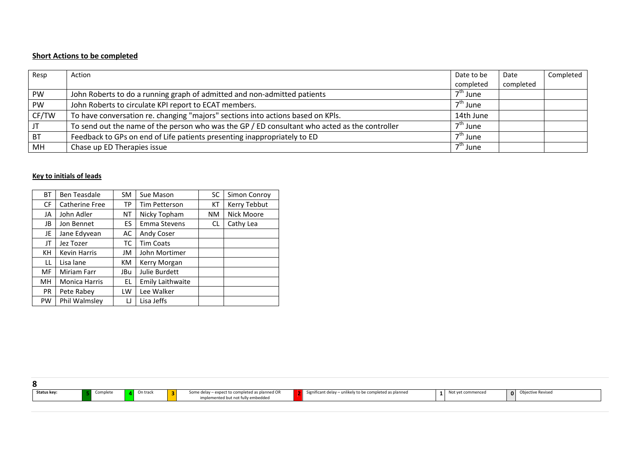#### Short Actions to be completed

| Resp      | Action                                                                                        | Date to be           | Date      | Completed |
|-----------|-----------------------------------------------------------------------------------------------|----------------------|-----------|-----------|
|           |                                                                                               | completed            | completed |           |
| PW        | John Roberts to do a running graph of admitted and non-admitted patients                      | $7th$ June           |           |           |
| PW        | John Roberts to circulate KPI report to ECAT members.                                         | 7 <sup>th</sup> June |           |           |
| CF/TW     | To have conversation re. changing "majors" sections into actions based on KPIs.               | 14th June            |           |           |
| JT        | To send out the name of the person who was the GP / ED consultant who acted as the controller | $7th$ June           |           |           |
| <b>BT</b> | Feedback to GPs on end of Life patients presenting inappropriately to ED                      | $7th$ June           |           |           |
| MH        | Chase up ED Therapies issue                                                                   | 7th June             |           |           |

#### Key to initials of leads

| <b>BT</b> | <b>Ben Teasdale</b>  | <b>SM</b> | Sue Mason               | SC        | Simon Conroy |
|-----------|----------------------|-----------|-------------------------|-----------|--------------|
| <b>CF</b> | Catherine Free       | ТP        | <b>Tim Petterson</b>    | КT        | Kerry Tebbut |
| JA        | John Adler           | ΝT        | Nicky Topham            | <b>NM</b> | Nick Moore   |
| JB        | Jon Bennet           | ES.       | Emma Stevens            | CL        | Cathy Lea    |
| JE        | Jane Edyvean         | AC        | Andy Coser              |           |              |
| JT        | Jez Tozer            | тс        | <b>Tim Coats</b>        |           |              |
| KH        | <b>Kevin Harris</b>  | JM        | John Mortimer           |           |              |
| LL        | Lisa lane            | KM.       | Kerry Morgan            |           |              |
| MF        | Miriam Farr          | JBu       | Julie Burdett           |           |              |
| MH        | <b>Monica Harris</b> | EL.       | <b>Emily Laithwaite</b> |           |              |
| <b>PR</b> | Pete Rabey           | LW        | Lee Walker              |           |              |
| PW        | Phil Walmsley        | IJ        | Lisa Jeffs              |           |              |

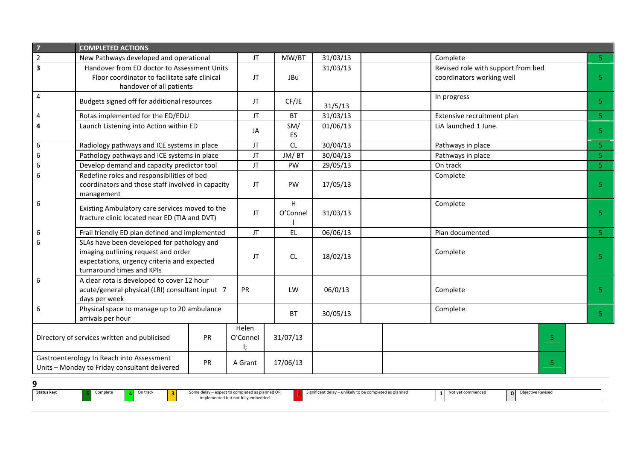| $\overline{7}$                                                                                   | <b>COMPLETED ACTIONS</b>                                                                                                                                      |                   |          |               |          |                                                                 |                |                |
|--------------------------------------------------------------------------------------------------|---------------------------------------------------------------------------------------------------------------------------------------------------------------|-------------------|----------|---------------|----------|-----------------------------------------------------------------|----------------|----------------|
| $\overline{2}$                                                                                   | New Pathways developed and operational                                                                                                                        |                   | JT       | MW/BT         | 31/03/13 | Complete                                                        |                | $5 -$          |
| $\overline{\mathbf{3}}$                                                                          | Handover from ED doctor to Assessment Units<br>Floor coordinator to facilitate safe clinical<br>handover of all patients                                      |                   | JT       | JBu           | 31/03/13 | Revised role with support from bed<br>coordinators working well |                | 5 <sup>1</sup> |
| $\overline{4}$                                                                                   | Budgets signed off for additional resources                                                                                                                   |                   | JT       | CF/JE         | 31/5/13  | In progress                                                     |                | 5 <sub>1</sub> |
| 4                                                                                                | Rotas implemented for the ED/EDU                                                                                                                              |                   | JT       | <b>BT</b>     | 31/03/13 | Extensive recruitment plan                                      |                | 5 <sup>1</sup> |
| 4                                                                                                | Launch Listening into Action within ED                                                                                                                        |                   | JA       | SM/<br>ES     | 01/06/13 | LiA launched 1 June.                                            |                | 5 <sub>1</sub> |
| $\sqrt{6}$                                                                                       | Radiology pathways and ICE systems in place                                                                                                                   |                   | JT       | CL            | 30/04/13 | Pathways in place                                               |                | 5 <sub>1</sub> |
| 6                                                                                                | Pathology pathways and ICE systems in place                                                                                                                   |                   | JT       | JM/BT         | 30/04/13 | Pathways in place                                               |                | 5 <sup>1</sup> |
| $\boldsymbol{6}$                                                                                 | Develop demand and capacity predictor tool                                                                                                                    |                   | JT       | PW            | 29/05/13 | On track                                                        |                | 5 <sup>2</sup> |
| 6                                                                                                | Redefine roles and responsibilities of bed<br>coordinators and those staff involved in capacity<br>management                                                 | JT                | PW       | 17/05/13      | Complete |                                                                 | 5 <sup>1</sup> |                |
| 6                                                                                                | Existing Ambulatory care services moved to the<br>fracture clinic located near ED (TIA and DVT)                                                               |                   | JT       | H<br>O'Connel | 31/03/13 | Complete                                                        |                | 5 <sup>1</sup> |
| 6                                                                                                | Frail friendly ED plan defined and implemented                                                                                                                |                   | JT       | <b>EL</b>     | 06/06/13 | Plan documented                                                 |                | $5 -$          |
| 6                                                                                                | SLAs have been developed for pathology and<br>imaging outlining request and order<br>expectations, urgency criteria and expected<br>turnaround times and KPIs |                   | JT       | CL            | 18/02/13 | Complete                                                        |                | 5 <sup>1</sup> |
| 6                                                                                                | A clear rota is developed to cover 12 hour<br>acute/general physical (LRI) consultant input 7<br>days per week                                                |                   | PR       | LW            | 06/0/13  | Complete                                                        |                | 5 <sup>1</sup> |
| 6                                                                                                | Physical space to manage up to 20 ambulance<br>arrivals per hour                                                                                              |                   |          | <b>BT</b>     | 30/05/13 | Complete                                                        |                | 5 <sup>1</sup> |
| Directory of services written and publicised<br>PR                                               |                                                                                                                                                               | Helen<br>O'Connel | 31/07/13 |               |          | 5 <sup>1</sup>                                                  |                |                |
| Gastroenterology In Reach into Assessment<br>PR<br>Units - Monday to Friday consultant delivered |                                                                                                                                                               | A Grant           | 17/06/13 |               |          | 5.                                                              |                |                |

- 9
- Status key: 5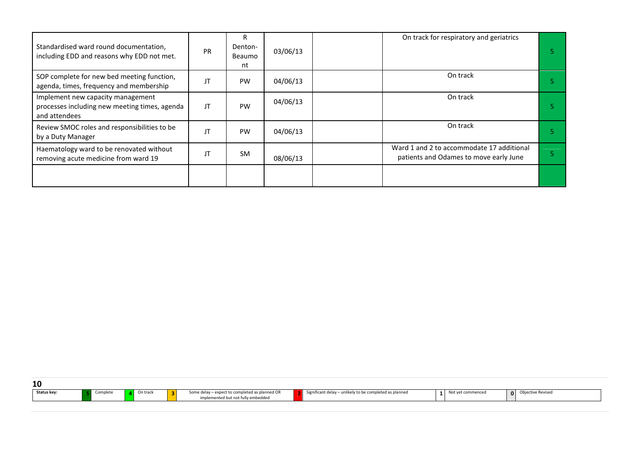| Standardised ward round documentation,<br>including EDD and reasons why EDD not met.                | <b>PR</b> | R<br>Denton-<br>Beaumo<br>nt | 03/06/13 |  | On track for respiratory and geriatrics                                             |  |
|-----------------------------------------------------------------------------------------------------|-----------|------------------------------|----------|--|-------------------------------------------------------------------------------------|--|
| SOP complete for new bed meeting function,<br>agenda, times, frequency and membership               | JT        | <b>PW</b>                    | 04/06/13 |  | On track                                                                            |  |
| Implement new capacity management<br>processes including new meeting times, agenda<br>and attendees | JT        | PW                           | 04/06/13 |  | On track                                                                            |  |
| Review SMOC roles and responsibilities to be<br>by a Duty Manager                                   | JT        | PW                           | 04/06/13 |  | On track                                                                            |  |
| Haematology ward to be renovated without<br>removing acute medicine from ward 19                    | JT        | <b>SM</b>                    | 08/06/13 |  | Ward 1 and 2 to accommodate 17 additional<br>patients and Odames to move early June |  |
|                                                                                                     |           |                              |          |  |                                                                                     |  |

| 10                      |          |                                                                                      |                                                           |                   |                          |
|-------------------------|----------|--------------------------------------------------------------------------------------|-----------------------------------------------------------|-------------------|--------------------------|
| Status key:<br>Complete | On track | Some delay - expect to completed as planned OR<br>implemented but not fully embedded | Significant delay $-$ unlikely to be completed as planned | Not yet commenced | <b>Objective Revised</b> |